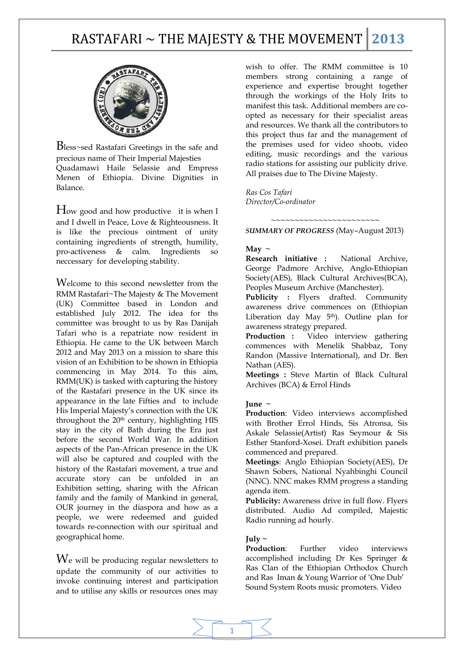# RASTAFARI ~ THE MAJESTY & THE MOVEMENT **2013**



Bless~sed Rastafari Greetings in the safe and precious name of Their Imperial Majesties Quadamawi Haile Selassie and Empress Menen of Ethiopia. Divine Dignities in Balance.

How good and how productive it is when I and I dwell in Peace, Love & Righteousness. It is like the precious ointment of unity containing ingredients of strength, humility, pro-activeness & calm. Ingredients so neccessary for developing stability.

Welcome to this second newsletter from the RMM Rastafari~The Majesty & The Movement (UK) Committee based in London and established July 2012. The idea for ths committee was brought to us by Ras Danijah Tafari who is a repatriate now resident in Ethiopia. He came to the UK between March 2012 and May 2013 on a mission to share this vision of an Exhibition to be shown in Ethiopia commencing in May 2014. To this aim, RMM(UK) is tasked with capturing the history of the Rastafari presence in the UK since its appearance in the late Fifties and to include His Imperial Majesty's connection with the UK throughout the 20<sup>th</sup> century, highlighting HIS stay in the city of Bath during the Era just before the second World War. In addition aspects of the Pan-African presence in the UK will also be captured and coupled with the history of the Rastafari movement, a true and accurate story can be unfolded in an Exhibition setting, sharing with the African family and the family of Mankind in general, OUR journey in the diaspora and how as a people, we were redeemed and guided towards re-connection with our spiritual and geographical home.

We will be producing regular newsletters to update the community of our activities to invoke continuing interest and participation and to utilise any skills or resources ones may wish to offer. The RMM committee is 10 members strong containing a range of experience and expertise brought together through the workings of the Holy Irits to manifest this task. Additional members are coopted as necessary for their specialist areas and resources. We thank all the contributors to this project thus far and the management of the premises used for video shoots, video editing, music recordings and the various radio stations for assisting our publicity drive. All praises due to The Divine Majesty.

*Ras Cos Tafari Director/Co-ordinator* 

*SUMMARY OF PROGRESS* (May–August 2013)

 *~~~~~~~~~~~~~~~~~~~~~~~* 

#### May  $\sim$

**Research initiative :** National Archive, George Padmore Archive, Anglo-Ethiopian Society(AES), Black Cultural Archives(BCA), Peoples Museum Archive (Manchester).

Publicity : Flyers drafted. Community awareness drive commences on (Ethiopian Liberation day May  $5<sup>th</sup>$ ). Outline plan for awareness strategy prepared.

**Production :** Video interview gathering commences with Menelik Shabbaz, Tony Randon (Massive International), and Dr. Ben Nathan (AES).

**Meetings :** Steve Martin of Black Cultural Archives (BCA) & Errol Hinds

#### **June**  $\sim$

**Production**: Video interviews accomplished with Brother Errol Hinds, Sis Atronsa, Sis Askale Selassie(Artist) Ras Seymour & Sis Esther Stanford-Xosei. Draft exhibition panels commenced and prepared.

**Meetings**: Anglo Ethiopian Society(AES), Dr Shawn Sobers, National Nyahbinghi Council (NNC). NNC makes RMM progress a standing agenda item.

Publicity: Awareness drive in full flow. Flyers distributed. Audio Ad compiled, Majestic Radio running ad hourly.

### $Iulv ~$

**Production**: Further video interviews accomplished including Dr Kes Springer & Ras Clan of the Ethiopian Orthodox Church and Ras Iman & Young Warrior of 'One Dub' Sound System Roots music promoters. Video